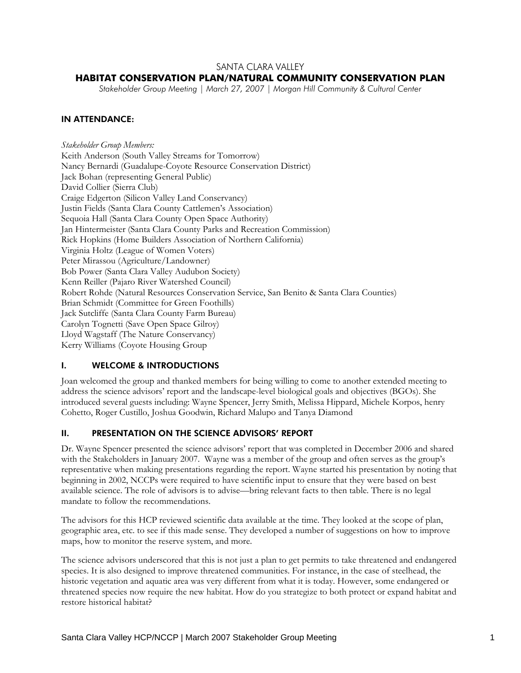## SANTA CLARA VALLEY

# **HABITAT CONSERVATION PLAN/NATURAL COMMUNITY CONSERVATION PLAN**

*Stakeholder Group Meeting | March 27, 2007 | Morgan Hill Community & Cultural Center* 

## IN ATTENDANCE:

*Stakeholder Group Members:*  Keith Anderson (South Valley Streams for Tomorrow) Nancy Bernardi (Guadalupe-Coyote Resource Conservation District) Jack Bohan (representing General Public) David Collier (Sierra Club) Craige Edgerton (Silicon Valley Land Conservancy) Justin Fields (Santa Clara County Cattlemen's Association) Sequoia Hall (Santa Clara County Open Space Authority) Jan Hintermeister (Santa Clara County Parks and Recreation Commission) Rick Hopkins (Home Builders Association of Northern California) Virginia Holtz (League of Women Voters) Peter Mirassou (Agriculture/Landowner) Bob Power (Santa Clara Valley Audubon Society) Kenn Reiller (Pajaro River Watershed Council) Robert Rohde (Natural Resources Conservation Service, San Benito & Santa Clara Counties) Brian Schmidt (Committee for Green Foothills) Jack Sutcliffe (Santa Clara County Farm Bureau) Carolyn Tognetti (Save Open Space Gilroy) Lloyd Wagstaff (The Nature Conservancy) Kerry Williams (Coyote Housing Group

### I. WELCOME & INTRODUCTIONS

Joan welcomed the group and thanked members for being willing to come to another extended meeting to address the science advisors' report and the landscape-level biological goals and objectives (BGOs). She introduced several guests including: Wayne Spencer, Jerry Smith, Melissa Hippard, Michele Korpos, henry Cohetto, Roger Custillo, Joshua Goodwin, Richard Malupo and Tanya Diamond

## II. PRESENTATION ON THE SCIENCE ADVISORS' REPORT

Dr. Wayne Spencer presented the science advisors' report that was completed in December 2006 and shared with the Stakeholders in January 2007. Wayne was a member of the group and often serves as the group's representative when making presentations regarding the report. Wayne started his presentation by noting that beginning in 2002, NCCPs were required to have scientific input to ensure that they were based on best available science. The role of advisors is to advise—bring relevant facts to then table. There is no legal mandate to follow the recommendations.

The advisors for this HCP reviewed scientific data available at the time. They looked at the scope of plan, geographic area, etc. to see if this made sense. They developed a number of suggestions on how to improve maps, how to monitor the reserve system, and more.

The science advisors underscored that this is not just a plan to get permits to take threatened and endangered species. It is also designed to improve threatened communities. For instance, in the case of steelhead, the historic vegetation and aquatic area was very different from what it is today. However, some endangered or threatened species now require the new habitat. How do you strategize to both protect or expand habitat and restore historical habitat?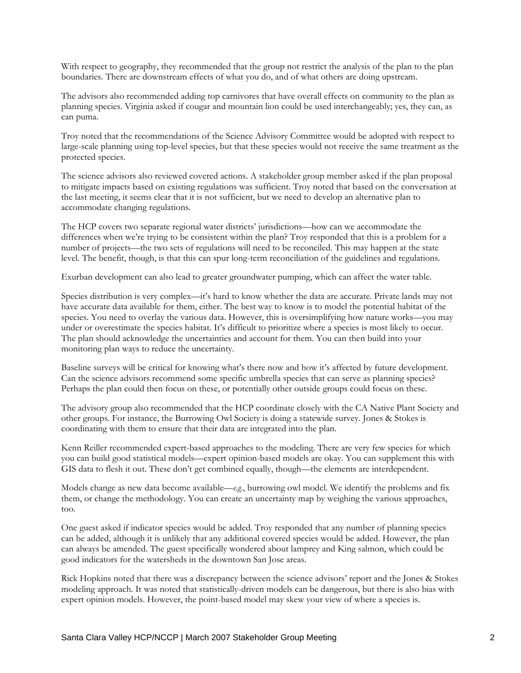With respect to geography, they recommended that the group not restrict the analysis of the plan to the plan boundaries. There are downstream effects of what you do, and of what others are doing upstream.

The advisors also recommended adding top carnivores that have overall effects on community to the plan as planning species. Virginia asked if cougar and mountain lion could be used interchangeably; yes, they can, as can puma.

Troy noted that the recommendations of the Science Advisory Committee would be adopted with respect to large-scale planning using top-level species, but that these species would not receive the same treatment as the protected species.

The science advisors also reviewed covered actions. A stakeholder group member asked if the plan proposal to mitigate impacts based on existing regulations was sufficient. Troy noted that based on the conversation at the last meeting, it seems clear that it is not sufficient, but we need to develop an alternative plan to accommodate changing regulations.

The HCP covers two separate regional water districts' jurisdictions—how can we accommodate the differences when we're trying to be consistent within the plan? Troy responded that this is a problem for a number of projects—the two sets of regulations will need to be reconciled. This may happen at the state level. The benefit, though, is that this can spur long-term reconciliation of the guidelines and regulations.

Exurban development can also lead to greater groundwater pumping, which can affect the water table.

Species distribution is very complex—it's hard to know whether the data are accurate. Private lands may not have accurate data available for them, either. The best way to know is to model the potential habitat of the species. You need to overlay the various data. However, this is oversimplifying how nature works—you may under or overestimate the species habitat. It's difficult to prioritize where a species is most likely to occur. The plan should acknowledge the uncertainties and account for them. You can then build into your monitoring plan ways to reduce the uncertainty.

Baseline surveys will be critical for knowing what's there now and how it's affected by future development. Can the science advisors recommend some specific umbrella species that can serve as planning species? Perhaps the plan could then focus on these, or potentially other outside groups could focus on these.

The advisory group also recommended that the HCP coordinate closely with the CA Native Plant Society and other groups. For instance, the Burrowing Owl Society is doing a statewide survey. Jones & Stokes is coordinating with them to ensure that their data are integrated into the plan.

Kenn Reiller recommended expert-based approaches to the modeling. There are very few species for which you can build good statistical models—expert opinion-based models are okay. You can supplement this with GIS data to flesh it out. These don't get combined equally, though—the elements are interdependent.

Models change as new data become available—*e.g.*, burrowing owl model. We identify the problems and fix them, or change the methodology. You can create an uncertainty map by weighing the various approaches, too.

One guest asked if indicator species would be added. Troy responded that any number of planning species can be added, although it is unlikely that any additional covered species would be added. However, the plan can always be amended. The guest specifically wondered about lamprey and King salmon, which could be good indicators for the watersheds in the downtown San Jose areas.

Rick Hopkins noted that there was a discrepancy between the science advisors' report and the Jones & Stokes modeling approach. It was noted that statistically-driven models can be dangerous, but there is also bias with expert opinion models. However, the point-based model may skew your view of where a species is.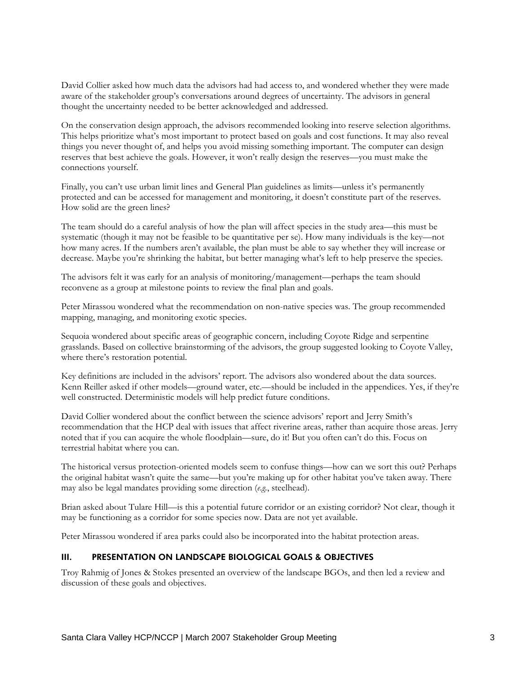David Collier asked how much data the advisors had had access to, and wondered whether they were made aware of the stakeholder group's conversations around degrees of uncertainty. The advisors in general thought the uncertainty needed to be better acknowledged and addressed.

On the conservation design approach, the advisors recommended looking into reserve selection algorithms. This helps prioritize what's most important to protect based on goals and cost functions. It may also reveal things you never thought of, and helps you avoid missing something important. The computer can design reserves that best achieve the goals. However, it won't really design the reserves—you must make the connections yourself.

Finally, you can't use urban limit lines and General Plan guidelines as limits—unless it's permanently protected and can be accessed for management and monitoring, it doesn't constitute part of the reserves. How solid are the green lines?

The team should do a careful analysis of how the plan will affect species in the study area—this must be systematic (though it may not be feasible to be quantitative per se). How many individuals is the key—not how many acres. If the numbers aren't available, the plan must be able to say whether they will increase or decrease. Maybe you're shrinking the habitat, but better managing what's left to help preserve the species.

The advisors felt it was early for an analysis of monitoring/management—perhaps the team should reconvene as a group at milestone points to review the final plan and goals.

Peter Mirassou wondered what the recommendation on non-native species was. The group recommended mapping, managing, and monitoring exotic species.

Sequoia wondered about specific areas of geographic concern, including Coyote Ridge and serpentine grasslands. Based on collective brainstorming of the advisors, the group suggested looking to Coyote Valley, where there's restoration potential.

Key definitions are included in the advisors' report. The advisors also wondered about the data sources. Kenn Reiller asked if other models—ground water, etc.—should be included in the appendices. Yes, if they're well constructed. Deterministic models will help predict future conditions.

David Collier wondered about the conflict between the science advisors' report and Jerry Smith's recommendation that the HCP deal with issues that affect riverine areas, rather than acquire those areas. Jerry noted that if you can acquire the whole floodplain—sure, do it! But you often can't do this. Focus on terrestrial habitat where you can.

The historical versus protection-oriented models seem to confuse things—how can we sort this out? Perhaps the original habitat wasn't quite the same—but you're making up for other habitat you've taken away. There may also be legal mandates providing some direction (*e.g.*, steelhead).

Brian asked about Tulare Hill—is this a potential future corridor or an existing corridor? Not clear, though it may be functioning as a corridor for some species now. Data are not yet available.

Peter Mirassou wondered if area parks could also be incorporated into the habitat protection areas.

## III. PRESENTATION ON LANDSCAPE BIOLOGICAL GOALS & OBJECTIVES

Troy Rahmig of Jones & Stokes presented an overview of the landscape BGOs, and then led a review and discussion of these goals and objectives.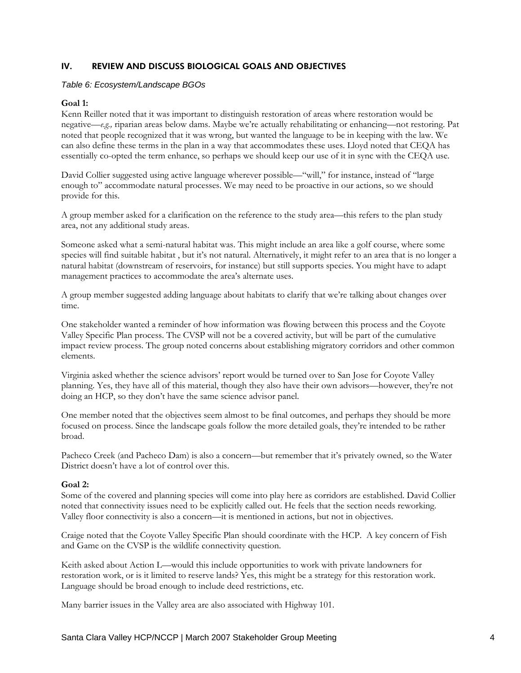## IV. REVIEW AND DISCUSS BIOLOGICAL GOALS AND OBJECTIVES

#### *Table 6: Ecosystem/Landscape BGOs*

### **Goal 1:**

Kenn Reiller noted that it was important to distinguish restoration of areas where restoration would be negative—*e.g.,* riparian areas below dams. Maybe we're actually rehabilitating or enhancing—not restoring. Pat noted that people recognized that it was wrong, but wanted the language to be in keeping with the law. We can also define these terms in the plan in a way that accommodates these uses. Lloyd noted that CEQA has essentially co-opted the term enhance, so perhaps we should keep our use of it in sync with the CEQA use.

David Collier suggested using active language wherever possible—"will," for instance, instead of "large enough to" accommodate natural processes. We may need to be proactive in our actions, so we should provide for this.

A group member asked for a clarification on the reference to the study area—this refers to the plan study area, not any additional study areas.

Someone asked what a semi-natural habitat was. This might include an area like a golf course, where some species will find suitable habitat , but it's not natural. Alternatively, it might refer to an area that is no longer a natural habitat (downstream of reservoirs, for instance) but still supports species. You might have to adapt management practices to accommodate the area's alternate uses.

A group member suggested adding language about habitats to clarify that we're talking about changes over time.

One stakeholder wanted a reminder of how information was flowing between this process and the Coyote Valley Specific Plan process. The CVSP will not be a covered activity, but will be part of the cumulative impact review process. The group noted concerns about establishing migratory corridors and other common elements.

Virginia asked whether the science advisors' report would be turned over to San Jose for Coyote Valley planning. Yes, they have all of this material, though they also have their own advisors—however, they're not doing an HCP, so they don't have the same science advisor panel.

One member noted that the objectives seem almost to be final outcomes, and perhaps they should be more focused on process. Since the landscape goals follow the more detailed goals, they're intended to be rather broad.

Pacheco Creek (and Pacheco Dam) is also a concern—but remember that it's privately owned, so the Water District doesn't have a lot of control over this.

### **Goal 2:**

Some of the covered and planning species will come into play here as corridors are established. David Collier noted that connectivity issues need to be explicitly called out. He feels that the section needs reworking. Valley floor connectivity is also a concern—it is mentioned in actions, but not in objectives.

Craige noted that the Coyote Valley Specific Plan should coordinate with the HCP. A key concern of Fish and Game on the CVSP is the wildlife connectivity question.

Keith asked about Action L—would this include opportunities to work with private landowners for restoration work, or is it limited to reserve lands? Yes, this might be a strategy for this restoration work. Language should be broad enough to include deed restrictions, etc.

Many barrier issues in the Valley area are also associated with Highway 101.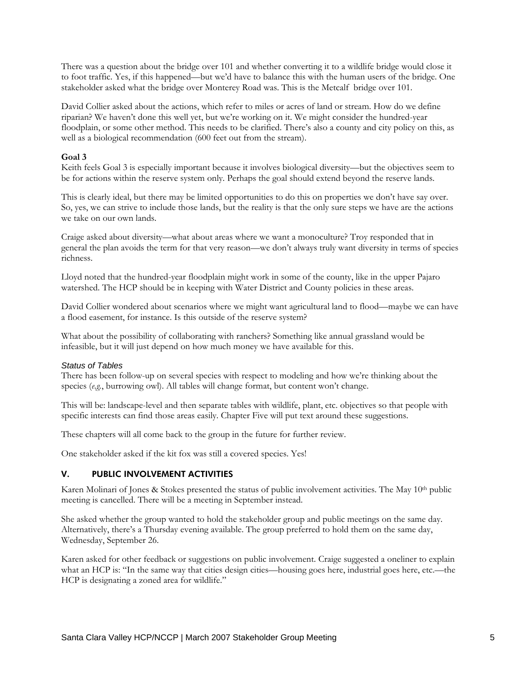There was a question about the bridge over 101 and whether converting it to a wildlife bridge would close it to foot traffic. Yes, if this happened—but we'd have to balance this with the human users of the bridge. One stakeholder asked what the bridge over Monterey Road was. This is the Metcalf bridge over 101.

David Collier asked about the actions, which refer to miles or acres of land or stream. How do we define riparian? We haven't done this well yet, but we're working on it. We might consider the hundred-year floodplain, or some other method. This needs to be clarified. There's also a county and city policy on this, as well as a biological recommendation (600 feet out from the stream).

### **Goal 3**

Keith feels Goal 3 is especially important because it involves biological diversity—but the objectives seem to be for actions within the reserve system only. Perhaps the goal should extend beyond the reserve lands.

This is clearly ideal, but there may be limited opportunities to do this on properties we don't have say over. So, yes, we can strive to include those lands, but the reality is that the only sure steps we have are the actions we take on our own lands.

Craige asked about diversity—what about areas where we want a monoculture? Troy responded that in general the plan avoids the term for that very reason—we don't always truly want diversity in terms of species richness.

Lloyd noted that the hundred-year floodplain might work in some of the county, like in the upper Pajaro watershed. The HCP should be in keeping with Water District and County policies in these areas.

David Collier wondered about scenarios where we might want agricultural land to flood—maybe we can have a flood easement, for instance. Is this outside of the reserve system?

What about the possibility of collaborating with ranchers? Something like annual grassland would be infeasible, but it will just depend on how much money we have available for this.

#### *Status of Tables*

There has been follow-up on several species with respect to modeling and how we're thinking about the species (*e.g.*, burrowing owl). All tables will change format, but content won't change.

This will be: landscape-level and then separate tables with wildlife, plant, etc. objectives so that people with specific interests can find those areas easily. Chapter Five will put text around these suggestions.

These chapters will all come back to the group in the future for further review.

One stakeholder asked if the kit fox was still a covered species. Yes!

### V. PUBLIC INVOLVEMENT ACTIVITIES

Karen Molinari of Jones & Stokes presented the status of public involvement activities. The May 10<sup>th</sup> public meeting is cancelled. There will be a meeting in September instead.

She asked whether the group wanted to hold the stakeholder group and public meetings on the same day. Alternatively, there's a Thursday evening available. The group preferred to hold them on the same day, Wednesday, September 26.

Karen asked for other feedback or suggestions on public involvement. Craige suggested a oneliner to explain what an HCP is: "In the same way that cities design cities—housing goes here, industrial goes here, etc.—the HCP is designating a zoned area for wildlife."